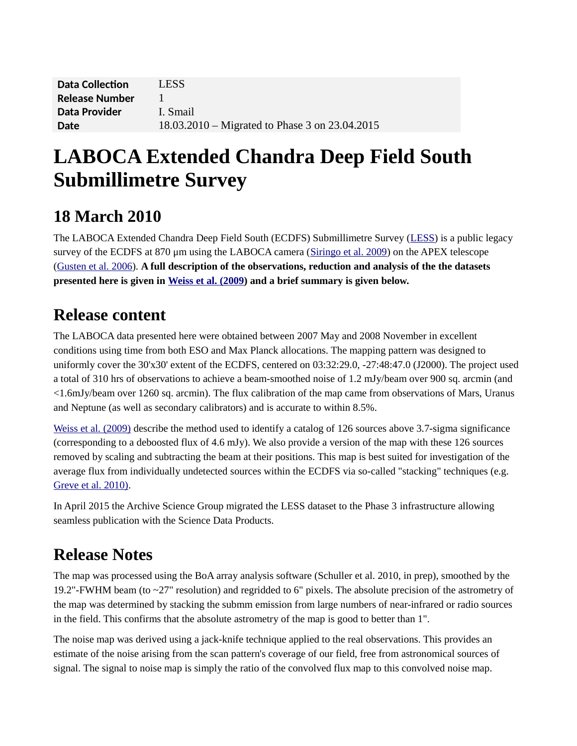| <b>Data Collection</b> | LESS.                                          |
|------------------------|------------------------------------------------|
| <b>Release Number</b>  |                                                |
| Data Provider          | I. Smail                                       |
| Date                   | 18.03.2010 – Migrated to Phase 3 on 23.04.2015 |

# **LABOCA Extended Chandra Deep Field South Submillimetre Survey**

#### **18 March 2010**

The LABOCA Extended Chandra Deep Field South (ECDFS) Submillimetre Survey [\(LESS\)](http://www.astro.dur.ac.uk/~irs/LESS) is a public legacy survey of the ECDFS at 870 μm using the LABOCA camera [\(Siringo et al. 2009\)](http://adsabs.harvard.edu/abs/2009A%26A...497..945S) on the APEX telescope [\(Gusten et al. 2006\)](http://adsabs.harvard.edu/abs/2006A%26A...454L..13G). **A full description of the observations, reduction and analysis of the the datasets presented here is given in [Weiss et al. \(2009\)](http://adsabs.harvard.edu/abs/2009ApJ...707.1201W) and a brief summary is given below.**

#### **Release content**

The LABOCA data presented here were obtained between 2007 May and 2008 November in excellent conditions using time from both ESO and Max Planck allocations. The mapping pattern was designed to uniformly cover the 30'x30' extent of the ECDFS, centered on 03:32:29.0, -27:48:47.0 (J2000). The project used a total of 310 hrs of observations to achieve a beam-smoothed noise of 1.2 mJy/beam over 900 sq. arcmin (and <1.6mJy/beam over 1260 sq. arcmin). The flux calibration of the map came from observations of Mars, Uranus and Neptune (as well as secondary calibrators) and is accurate to within 8.5%.

[Weiss et al. \(2009\)](http://adsabs.harvard.edu/abs/2009ApJ...707.1201W) describe the method used to identify a catalog of 126 sources above 3.7-sigma significance (corresponding to a deboosted flux of 4.6 mJy). We also provide a version of the map with these 126 sources removed by scaling and subtracting the beam at their positions. This map is best suited for investigation of the average flux from individually undetected sources within the ECDFS via so-called "stacking" techniques (e.g. [Greve et al. 2010\).](http://adsabs.harvard.edu/abs/2009arXiv0904.0028G)

In April 2015 the Archive Science Group migrated the LESS dataset to the Phase 3 infrastructure allowing seamless publication with the Science Data Products.

## **Release Notes**

The map was processed using the BoA array analysis software (Schuller et al. 2010, in prep), smoothed by the 19.2"-FWHM beam (to  $\sim$ 27" resolution) and regridded to 6" pixels. The absolute precision of the astrometry of the map was determined by stacking the submm emission from large numbers of near-infrared or radio sources in the field. This confirms that the absolute astrometry of the map is good to better than 1".

The noise map was derived using a jack-knife technique applied to the real observations. This provides an estimate of the noise arising from the scan pattern's coverage of our field, free from astronomical sources of signal. The signal to noise map is simply the ratio of the convolved flux map to this convolved noise map.